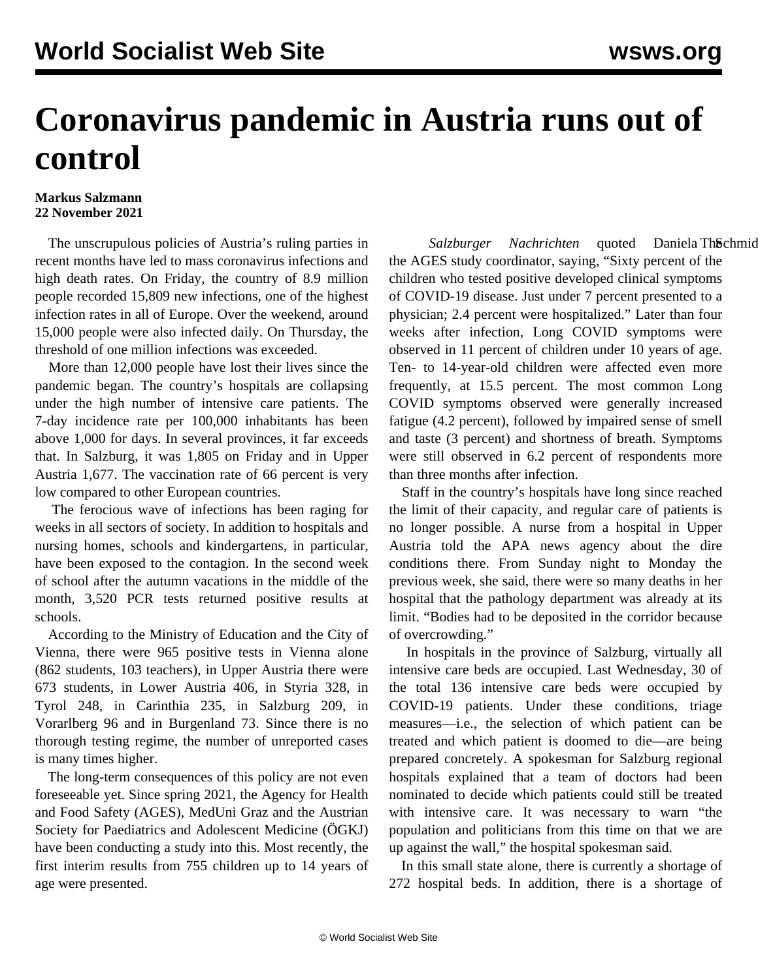## **Coronavirus pandemic in Austria runs out of control**

## **Markus Salzmann 22 November 2021**

 The unscrupulous policies of Austria's ruling parties in recent months have led to mass coronavirus infections and high death rates. On Friday, the country of 8.9 million people recorded 15,809 new infections, one of the highest infection rates in all of Europe. Over the weekend, around 15,000 people were also infected daily. On Thursday, the threshold of one million infections was exceeded.

 More than 12,000 people have lost their lives since the pandemic began. The country's hospitals are collapsing under the high number of intensive care patients. The 7-day incidence rate per 100,000 inhabitants has been above 1,000 for days. In several provinces, it far exceeds that. In Salzburg, it was 1,805 on Friday and in Upper Austria 1,677. The vaccination rate of 66 percent is very low compared to other European countries.

 The ferocious wave of infections has been raging for weeks in all sectors of society. In addition to hospitals and nursing homes, schools and kindergartens, in particular, have been exposed to the contagion. In the second week of school after the autumn vacations in the middle of the month, 3,520 PCR tests returned positive results at schools.

 According to the Ministry of Education and the City of Vienna, there were 965 positive tests in Vienna alone (862 students, 103 teachers), in Upper Austria there were 673 students, in Lower Austria 406, in Styria 328, in Tyrol 248, in Carinthia 235, in Salzburg 209, in Vorarlberg 96 and in Burgenland 73. Since there is no thorough testing regime, the number of unreported cases is many times higher.

 The long-term consequences of this policy are not even foreseeable yet. Since spring 2021, the Agency for Health and Food Safety (AGES), MedUni Graz and the Austrian Society for Paediatrics and Adolescent Medicine (ÖGKJ) have been conducting a study into this. Most recently, the first interim results from 755 children up to 14 years of age were presented.

Salzburger Nachrichten quoted Daniela Th**S**chmid the AGES study coordinator, saying, "Sixty percent of the children who tested positive developed clinical symptoms of COVID-19 disease. Just under 7 percent presented to a physician; 2.4 percent were hospitalized." Later than four weeks after infection, Long COVID symptoms were observed in 11 percent of children under 10 years of age. Ten- to 14-year-old children were affected even more frequently, at 15.5 percent. The most common Long COVID symptoms observed were generally increased fatigue (4.2 percent), followed by impaired sense of smell and taste (3 percent) and shortness of breath. Symptoms were still observed in 6.2 percent of respondents more than three months after infection.

 Staff in the country's hospitals have long since reached the limit of their capacity, and regular care of patients is no longer possible. A nurse from a hospital in Upper Austria told the APA news agency about the dire conditions there. From Sunday night to Monday the previous week, she said, there were so many deaths in her hospital that the pathology department was already at its limit. "Bodies had to be deposited in the corridor because of overcrowding."

 In hospitals in the province of Salzburg, virtually all intensive care beds are occupied. Last Wednesday, 30 of the total 136 intensive care beds were occupied by COVID-19 patients. Under these conditions, triage measures—i.e., the selection of which patient can be treated and which patient is doomed to die—are being prepared concretely. A spokesman for Salzburg regional hospitals explained that a team of doctors had been nominated to decide which patients could still be treated with intensive care. It was necessary to warn "the population and politicians from this time on that we are up against the wall," the hospital spokesman said.

 In this small state alone, there is currently a shortage of 272 hospital beds. In addition, there is a shortage of